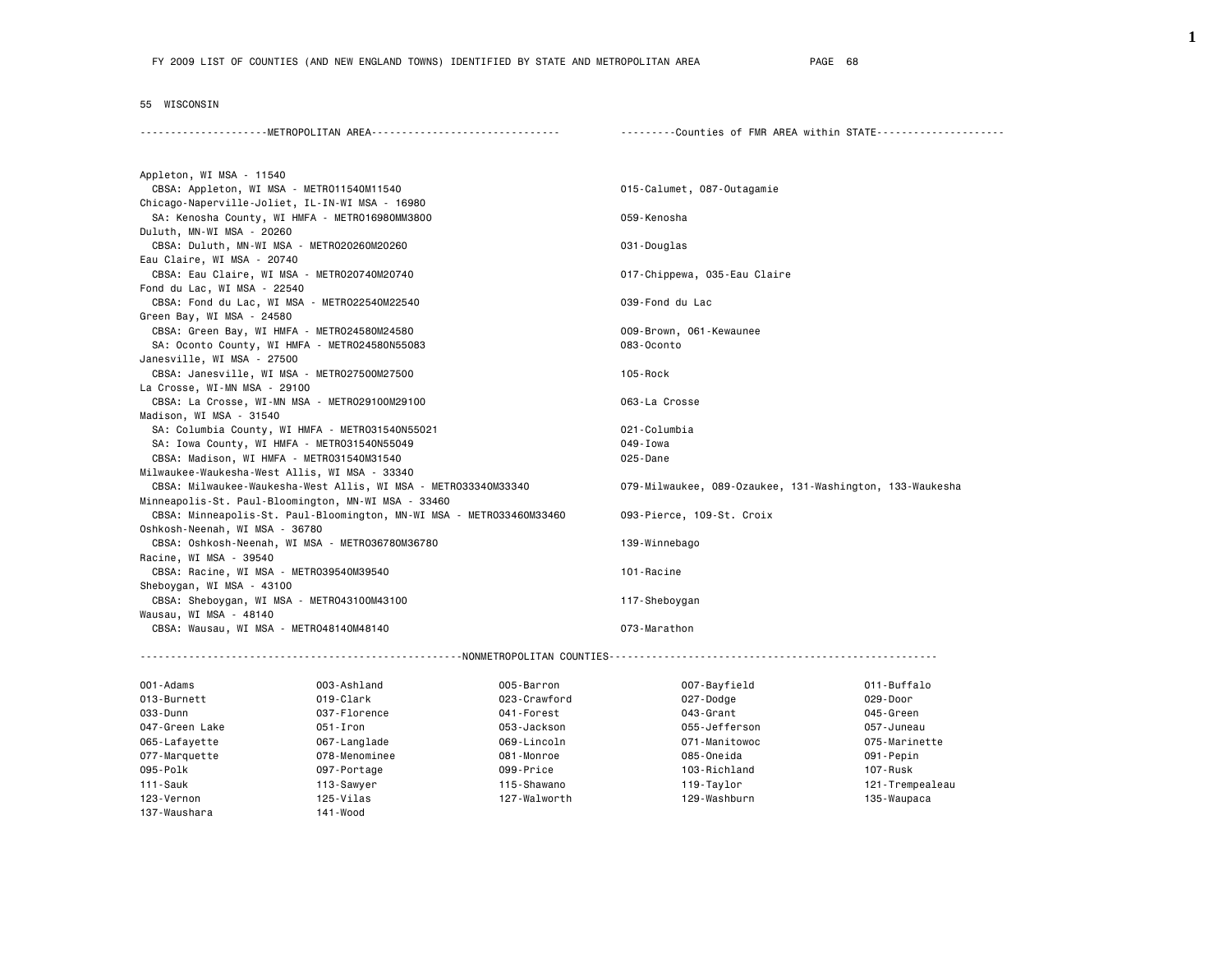## 55 WISCONSIN

| ---------Counties of FMR AREA within STATE--------------------- |
|-----------------------------------------------------------------|
|                                                                 |

| Appleton, WI MSA - 11540                                             |                                                          |
|----------------------------------------------------------------------|----------------------------------------------------------|
| CBSA: Appleton, WI MSA - METR011540M11540                            | 015-Calumet, 087-Outagamie                               |
| Chicago-Naperville-Joliet, IL-IN-WI MSA - 16980                      |                                                          |
| SA: Kenosha County, WI HMFA - METRO16980MM3800                       | 059-Kenosha                                              |
| Duluth, MN-WI MSA - 20260                                            |                                                          |
| CBSA: Duluth, MN-WI MSA - METR020260M20260                           | 031-Douglas                                              |
| Eau Claire, WI MSA - 20740                                           |                                                          |
| CBSA: Eau Claire, WI MSA - METRO20740M20740                          | 017-Chippewa, 035-Eau Claire                             |
| Fond du Lac, WI MSA - 22540                                          |                                                          |
| CBSA: Fond du Lac, WI MSA - METR022540M22540                         | 039-Fond du Lac                                          |
| Green Bay, WI MSA - 24580                                            |                                                          |
| CBSA: Green Bay, WI HMFA - METRO24580M24580                          | 009-Brown, 061-Kewaunee                                  |
| SA: Oconto County, WI HMFA - METRO24580N55083                        | 083-Oconto                                               |
| Janesville, WI MSA - 27500                                           |                                                          |
| CBSA: Janesville, WI MSA - METRO27500M27500                          | 105-Rock                                                 |
| La Crosse, WI-MN MSA - 29100                                         |                                                          |
| CBSA: La Crosse, WI-MN MSA - METRO29100M29100                        | 063-La Crosse                                            |
| Madison, WI MSA - 31540                                              |                                                          |
| SA: Columbia County, WI HMFA - METRO31540N55021                      | 021-Columbia                                             |
| SA: Iowa County, WI HMFA - METR031540N55049                          | 049-Iowa                                                 |
| CBSA: Madison, WI HMFA - METRO31540M31540                            | 025-Dane                                                 |
| Milwaukee-Waukesha-West Allis, WI MSA - 33340                        |                                                          |
| CBSA: Milwaukee-Waukesha-West Allis, WI MSA - METRO33340M33340       | 079-Milwaukee, 089-Ozaukee, 131-Washington, 133-Waukesha |
| Minneapolis-St. Paul-Bloomington, MN-WI MSA - 33460                  |                                                          |
| CBSA: Minneapolis-St. Paul-Bloomington, MN-WI MSA - METRO33460M33460 | 093-Pierce, 109-St. Croix                                |
| Oshkosh-Neenah, WI MSA - 36780                                       |                                                          |
| CBSA: Oshkosh-Neenah, WI MSA - METR036780M36780                      | 139-Winnebago                                            |
| Racine, WI MSA - 39540                                               |                                                          |
| CBSA: Racine, WI MSA - METR039540M39540                              | 101-Racine                                               |
| Sheboygan, WI MSA - 43100                                            |                                                          |
| CBSA: Sheboygan, WI MSA - METR043100M43100                           | 117-Sheboygan                                            |
| Wausau, WI MSA - 48140                                               |                                                          |
| CBSA: Wausau, WI MSA - METRO48140M48140                              | 073-Marathon                                             |
|                                                                      |                                                          |
|                                                                      |                                                          |

| 001-Adams      | 003-Ashland   | 005-Barron   | 007-Bayfield  | 011-Buffalo     |
|----------------|---------------|--------------|---------------|-----------------|
| 013-Burnett    | $019$ -Clark  | 023-Crawford | 027-Dodge     | 029-Door        |
| 033 - Dunn     | 037-Florence  | 041-Forest   | 043-Grant     | 045-Green       |
| 047-Green Lake | $051 -$ Iron  | 053-Jackson  | 055-Jefferson | 057-Juneau      |
| 065-Lafayette  | 067-Langlade  | 069-Lincoln  | 071-Manitowoc | 075-Marinette   |
| 077-Marquette  | 078-Menominee | 081-Monroe   | 085-Oneida    | 091-Pepin       |
| 095-Polk       | 097-Portage   | 099-Price    | 103-Richland  | 107-Rusk        |
| $111 - Sauk$   | 113-Sawyer    | 115-Shawano  | 119-Taylor    | 121-Trempealeau |
| 123-Vernon     | $125-Vi$ las  | 127-Walworth | 129-Washburn  | 135-Waupaca     |
| 137-Waushara   | 141-Wood      |              |               |                 |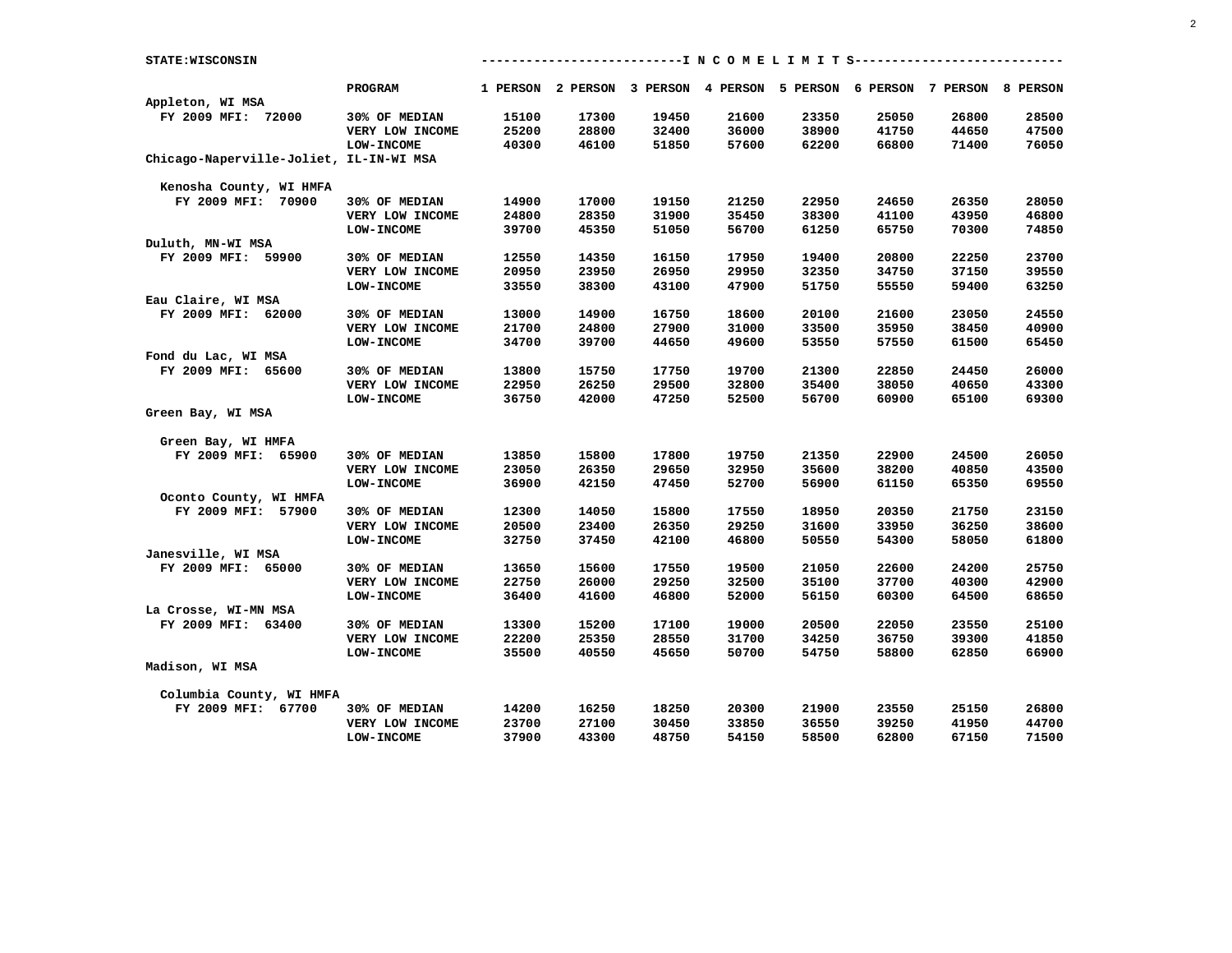| PROGRAM<br>1 PERSON 2 PERSON 3 PERSON 4 PERSON 5 PERSON 6 PERSON 7 PERSON 8 PERSON<br>Appleton, WI MSA<br>FY 2009 MFI: 72000<br>15100<br>17300<br>19450<br>21600<br>23350<br>25050<br>26800<br>28500<br>30% OF MEDIAN<br>25200<br>28800<br>36000<br>38900<br>VERY LOW INCOME<br>32400<br>41750<br>44650<br>47500<br>40300<br>46100<br>51850<br>57600<br>62200<br>66800<br>71400<br>76050<br><b>LOW-INCOME</b><br>Chicago-Naperville-Joliet, IL-IN-WI MSA<br>Kenosha County, WI HMFA<br>FY 2009 MFI: 70900<br>30% OF MEDIAN<br>14900<br>17000<br>19150<br>21250<br>22950<br>24650<br>26350<br>28050<br>VERY LOW INCOME<br>24800<br>28350<br>31900<br>35450<br>38300<br>41100<br>43950<br>46800<br><b>LOW-INCOME</b><br>39700<br>45350<br>51050<br>56700<br>61250<br>65750<br>70300<br>74850<br>Duluth, MN-WI MSA<br>FY 2009 MFI: 59900<br>30% OF MEDIAN<br>14350<br>19400<br>20800<br>22250<br>23700<br>12550<br>16150<br>17950<br>20950<br>23950<br>26950<br>29950<br>32350<br>34750<br>37150<br>39550<br>VERY LOW INCOME<br><b>LOW-INCOME</b><br>33550<br>38300<br>43100<br>47900<br>51750<br>55550<br>59400<br>63250<br>Eau Claire, WI MSA<br>FY 2009 MFI: 62000<br>24550<br>30% OF MEDIAN<br>13000<br>14900<br>16750<br>18600<br>20100<br>21600<br>23050<br>VERY LOW INCOME<br>21700<br>24800<br>27900<br>31000<br>33500<br>35950<br>38450<br>40900<br>34700<br>39700<br>44650<br>49600<br>53550<br>57550<br>61500<br><b>LOW-INCOME</b><br>65450<br>Fond du Lac, WI MSA<br>26000<br>FY 2009 MFI: 65600<br>13800<br>15750<br>17750<br>19700<br>21300<br>22850<br>24450<br>30% OF MEDIAN<br>22950<br>26250<br>29500<br>32800<br>35400<br>VERY LOW INCOME<br>38050<br>40650<br>43300<br>36750<br>42000<br>47250<br>52500<br>56700<br>60900<br>65100<br>69300<br><b>LOW-INCOME</b><br>Green Bay, WI MSA<br>Green Bay, WI HMFA<br>FY 2009 MFI: 65900<br>30% OF MEDIAN<br>15800<br>17800<br>19750<br>21350<br>22900<br>24500<br>26050<br>13850<br>23050<br>26350<br>29650<br>32950<br>35600<br>38200<br>40850<br>43500<br>VERY LOW INCOME<br>36900<br>42150<br>47450<br>52700<br>56900<br>61150<br>65350<br>69550<br><b>LOW-INCOME</b><br>Oconto County, WI HMFA<br>23150<br>FY 2009 MFI: 57900<br>30% OF MEDIAN<br>12300<br>14050<br>15800<br>17550<br>18950<br>20350<br>21750<br>VERY LOW INCOME<br>20500<br>23400<br>26350<br>29250<br>31600<br>33950<br>36250<br>38600<br>37450<br>42100<br>46800<br>50550<br>54300<br>58050<br>61800<br><b>LOW-INCOME</b><br>32750<br>Janesville, WI MSA<br>FY 2009 MFI: 65000<br>13650<br>15600<br>17550<br>19500<br>21050<br>22600<br>24200<br>25750<br>30% OF MEDIAN<br>22750<br>26000<br>29250<br>32500<br>35100<br>37700<br>40300<br>42900<br>VERY LOW INCOME<br>36400<br>41600<br>46800<br>52000<br>56150<br>60300<br>64500<br>68650<br><b>LOW-INCOME</b><br>La Crosse, WI-MN MSA<br>25100<br>FY 2009 MFI: 63400<br>30% OF MEDIAN<br>13300<br>15200<br>17100<br>19000<br>20500<br>22050<br>23550<br>VERY LOW INCOME<br>22200<br>25350<br>28550<br>31700<br>34250<br>36750<br>39300<br>41850<br>45650<br>54750<br>66900<br><b>LOW-INCOME</b><br>35500<br>40550<br>50700<br>58800<br>62850<br>Madison, WI MSA<br>Columbia County, WI HMFA<br>FY 2009 MFI: 67700<br>30% OF MEDIAN<br>14200<br>16250<br>18250<br>20300<br>21900<br>23550<br>25150<br>26800<br>23700<br>27100<br>30450<br>33850<br>36550<br>39250<br>41950<br>44700<br>VERY LOW INCOME<br>37900<br>43300<br>48750<br>54150<br>58500<br>62800<br>67150<br>71500<br><b>LOW-INCOME</b> | STATE: WISCONSIN |  |  | --------------------------I N C O M E L I M I T S--------------- |  |  |
|----------------------------------------------------------------------------------------------------------------------------------------------------------------------------------------------------------------------------------------------------------------------------------------------------------------------------------------------------------------------------------------------------------------------------------------------------------------------------------------------------------------------------------------------------------------------------------------------------------------------------------------------------------------------------------------------------------------------------------------------------------------------------------------------------------------------------------------------------------------------------------------------------------------------------------------------------------------------------------------------------------------------------------------------------------------------------------------------------------------------------------------------------------------------------------------------------------------------------------------------------------------------------------------------------------------------------------------------------------------------------------------------------------------------------------------------------------------------------------------------------------------------------------------------------------------------------------------------------------------------------------------------------------------------------------------------------------------------------------------------------------------------------------------------------------------------------------------------------------------------------------------------------------------------------------------------------------------------------------------------------------------------------------------------------------------------------------------------------------------------------------------------------------------------------------------------------------------------------------------------------------------------------------------------------------------------------------------------------------------------------------------------------------------------------------------------------------------------------------------------------------------------------------------------------------------------------------------------------------------------------------------------------------------------------------------------------------------------------------------------------------------------------------------------------------------------------------------------------------------------------------------------------------------------------------------------------------------------------------------------------------------------------------------------------------------------------------------------------------------------------------------------------------------------------------------------------------------------------------------------------------------------------------------------------------------------------------------------------------------------------------------------------------------------------------------------------------------------------------------|------------------|--|--|------------------------------------------------------------------|--|--|
|                                                                                                                                                                                                                                                                                                                                                                                                                                                                                                                                                                                                                                                                                                                                                                                                                                                                                                                                                                                                                                                                                                                                                                                                                                                                                                                                                                                                                                                                                                                                                                                                                                                                                                                                                                                                                                                                                                                                                                                                                                                                                                                                                                                                                                                                                                                                                                                                                                                                                                                                                                                                                                                                                                                                                                                                                                                                                                                                                                                                                                                                                                                                                                                                                                                                                                                                                                                                                                                                                        |                  |  |  |                                                                  |  |  |
|                                                                                                                                                                                                                                                                                                                                                                                                                                                                                                                                                                                                                                                                                                                                                                                                                                                                                                                                                                                                                                                                                                                                                                                                                                                                                                                                                                                                                                                                                                                                                                                                                                                                                                                                                                                                                                                                                                                                                                                                                                                                                                                                                                                                                                                                                                                                                                                                                                                                                                                                                                                                                                                                                                                                                                                                                                                                                                                                                                                                                                                                                                                                                                                                                                                                                                                                                                                                                                                                                        |                  |  |  |                                                                  |  |  |
|                                                                                                                                                                                                                                                                                                                                                                                                                                                                                                                                                                                                                                                                                                                                                                                                                                                                                                                                                                                                                                                                                                                                                                                                                                                                                                                                                                                                                                                                                                                                                                                                                                                                                                                                                                                                                                                                                                                                                                                                                                                                                                                                                                                                                                                                                                                                                                                                                                                                                                                                                                                                                                                                                                                                                                                                                                                                                                                                                                                                                                                                                                                                                                                                                                                                                                                                                                                                                                                                                        |                  |  |  |                                                                  |  |  |
|                                                                                                                                                                                                                                                                                                                                                                                                                                                                                                                                                                                                                                                                                                                                                                                                                                                                                                                                                                                                                                                                                                                                                                                                                                                                                                                                                                                                                                                                                                                                                                                                                                                                                                                                                                                                                                                                                                                                                                                                                                                                                                                                                                                                                                                                                                                                                                                                                                                                                                                                                                                                                                                                                                                                                                                                                                                                                                                                                                                                                                                                                                                                                                                                                                                                                                                                                                                                                                                                                        |                  |  |  |                                                                  |  |  |
|                                                                                                                                                                                                                                                                                                                                                                                                                                                                                                                                                                                                                                                                                                                                                                                                                                                                                                                                                                                                                                                                                                                                                                                                                                                                                                                                                                                                                                                                                                                                                                                                                                                                                                                                                                                                                                                                                                                                                                                                                                                                                                                                                                                                                                                                                                                                                                                                                                                                                                                                                                                                                                                                                                                                                                                                                                                                                                                                                                                                                                                                                                                                                                                                                                                                                                                                                                                                                                                                                        |                  |  |  |                                                                  |  |  |
|                                                                                                                                                                                                                                                                                                                                                                                                                                                                                                                                                                                                                                                                                                                                                                                                                                                                                                                                                                                                                                                                                                                                                                                                                                                                                                                                                                                                                                                                                                                                                                                                                                                                                                                                                                                                                                                                                                                                                                                                                                                                                                                                                                                                                                                                                                                                                                                                                                                                                                                                                                                                                                                                                                                                                                                                                                                                                                                                                                                                                                                                                                                                                                                                                                                                                                                                                                                                                                                                                        |                  |  |  |                                                                  |  |  |
|                                                                                                                                                                                                                                                                                                                                                                                                                                                                                                                                                                                                                                                                                                                                                                                                                                                                                                                                                                                                                                                                                                                                                                                                                                                                                                                                                                                                                                                                                                                                                                                                                                                                                                                                                                                                                                                                                                                                                                                                                                                                                                                                                                                                                                                                                                                                                                                                                                                                                                                                                                                                                                                                                                                                                                                                                                                                                                                                                                                                                                                                                                                                                                                                                                                                                                                                                                                                                                                                                        |                  |  |  |                                                                  |  |  |
|                                                                                                                                                                                                                                                                                                                                                                                                                                                                                                                                                                                                                                                                                                                                                                                                                                                                                                                                                                                                                                                                                                                                                                                                                                                                                                                                                                                                                                                                                                                                                                                                                                                                                                                                                                                                                                                                                                                                                                                                                                                                                                                                                                                                                                                                                                                                                                                                                                                                                                                                                                                                                                                                                                                                                                                                                                                                                                                                                                                                                                                                                                                                                                                                                                                                                                                                                                                                                                                                                        |                  |  |  |                                                                  |  |  |
|                                                                                                                                                                                                                                                                                                                                                                                                                                                                                                                                                                                                                                                                                                                                                                                                                                                                                                                                                                                                                                                                                                                                                                                                                                                                                                                                                                                                                                                                                                                                                                                                                                                                                                                                                                                                                                                                                                                                                                                                                                                                                                                                                                                                                                                                                                                                                                                                                                                                                                                                                                                                                                                                                                                                                                                                                                                                                                                                                                                                                                                                                                                                                                                                                                                                                                                                                                                                                                                                                        |                  |  |  |                                                                  |  |  |
|                                                                                                                                                                                                                                                                                                                                                                                                                                                                                                                                                                                                                                                                                                                                                                                                                                                                                                                                                                                                                                                                                                                                                                                                                                                                                                                                                                                                                                                                                                                                                                                                                                                                                                                                                                                                                                                                                                                                                                                                                                                                                                                                                                                                                                                                                                                                                                                                                                                                                                                                                                                                                                                                                                                                                                                                                                                                                                                                                                                                                                                                                                                                                                                                                                                                                                                                                                                                                                                                                        |                  |  |  |                                                                  |  |  |
|                                                                                                                                                                                                                                                                                                                                                                                                                                                                                                                                                                                                                                                                                                                                                                                                                                                                                                                                                                                                                                                                                                                                                                                                                                                                                                                                                                                                                                                                                                                                                                                                                                                                                                                                                                                                                                                                                                                                                                                                                                                                                                                                                                                                                                                                                                                                                                                                                                                                                                                                                                                                                                                                                                                                                                                                                                                                                                                                                                                                                                                                                                                                                                                                                                                                                                                                                                                                                                                                                        |                  |  |  |                                                                  |  |  |
|                                                                                                                                                                                                                                                                                                                                                                                                                                                                                                                                                                                                                                                                                                                                                                                                                                                                                                                                                                                                                                                                                                                                                                                                                                                                                                                                                                                                                                                                                                                                                                                                                                                                                                                                                                                                                                                                                                                                                                                                                                                                                                                                                                                                                                                                                                                                                                                                                                                                                                                                                                                                                                                                                                                                                                                                                                                                                                                                                                                                                                                                                                                                                                                                                                                                                                                                                                                                                                                                                        |                  |  |  |                                                                  |  |  |
|                                                                                                                                                                                                                                                                                                                                                                                                                                                                                                                                                                                                                                                                                                                                                                                                                                                                                                                                                                                                                                                                                                                                                                                                                                                                                                                                                                                                                                                                                                                                                                                                                                                                                                                                                                                                                                                                                                                                                                                                                                                                                                                                                                                                                                                                                                                                                                                                                                                                                                                                                                                                                                                                                                                                                                                                                                                                                                                                                                                                                                                                                                                                                                                                                                                                                                                                                                                                                                                                                        |                  |  |  |                                                                  |  |  |
|                                                                                                                                                                                                                                                                                                                                                                                                                                                                                                                                                                                                                                                                                                                                                                                                                                                                                                                                                                                                                                                                                                                                                                                                                                                                                                                                                                                                                                                                                                                                                                                                                                                                                                                                                                                                                                                                                                                                                                                                                                                                                                                                                                                                                                                                                                                                                                                                                                                                                                                                                                                                                                                                                                                                                                                                                                                                                                                                                                                                                                                                                                                                                                                                                                                                                                                                                                                                                                                                                        |                  |  |  |                                                                  |  |  |
|                                                                                                                                                                                                                                                                                                                                                                                                                                                                                                                                                                                                                                                                                                                                                                                                                                                                                                                                                                                                                                                                                                                                                                                                                                                                                                                                                                                                                                                                                                                                                                                                                                                                                                                                                                                                                                                                                                                                                                                                                                                                                                                                                                                                                                                                                                                                                                                                                                                                                                                                                                                                                                                                                                                                                                                                                                                                                                                                                                                                                                                                                                                                                                                                                                                                                                                                                                                                                                                                                        |                  |  |  |                                                                  |  |  |
|                                                                                                                                                                                                                                                                                                                                                                                                                                                                                                                                                                                                                                                                                                                                                                                                                                                                                                                                                                                                                                                                                                                                                                                                                                                                                                                                                                                                                                                                                                                                                                                                                                                                                                                                                                                                                                                                                                                                                                                                                                                                                                                                                                                                                                                                                                                                                                                                                                                                                                                                                                                                                                                                                                                                                                                                                                                                                                                                                                                                                                                                                                                                                                                                                                                                                                                                                                                                                                                                                        |                  |  |  |                                                                  |  |  |
|                                                                                                                                                                                                                                                                                                                                                                                                                                                                                                                                                                                                                                                                                                                                                                                                                                                                                                                                                                                                                                                                                                                                                                                                                                                                                                                                                                                                                                                                                                                                                                                                                                                                                                                                                                                                                                                                                                                                                                                                                                                                                                                                                                                                                                                                                                                                                                                                                                                                                                                                                                                                                                                                                                                                                                                                                                                                                                                                                                                                                                                                                                                                                                                                                                                                                                                                                                                                                                                                                        |                  |  |  |                                                                  |  |  |
|                                                                                                                                                                                                                                                                                                                                                                                                                                                                                                                                                                                                                                                                                                                                                                                                                                                                                                                                                                                                                                                                                                                                                                                                                                                                                                                                                                                                                                                                                                                                                                                                                                                                                                                                                                                                                                                                                                                                                                                                                                                                                                                                                                                                                                                                                                                                                                                                                                                                                                                                                                                                                                                                                                                                                                                                                                                                                                                                                                                                                                                                                                                                                                                                                                                                                                                                                                                                                                                                                        |                  |  |  |                                                                  |  |  |
|                                                                                                                                                                                                                                                                                                                                                                                                                                                                                                                                                                                                                                                                                                                                                                                                                                                                                                                                                                                                                                                                                                                                                                                                                                                                                                                                                                                                                                                                                                                                                                                                                                                                                                                                                                                                                                                                                                                                                                                                                                                                                                                                                                                                                                                                                                                                                                                                                                                                                                                                                                                                                                                                                                                                                                                                                                                                                                                                                                                                                                                                                                                                                                                                                                                                                                                                                                                                                                                                                        |                  |  |  |                                                                  |  |  |
|                                                                                                                                                                                                                                                                                                                                                                                                                                                                                                                                                                                                                                                                                                                                                                                                                                                                                                                                                                                                                                                                                                                                                                                                                                                                                                                                                                                                                                                                                                                                                                                                                                                                                                                                                                                                                                                                                                                                                                                                                                                                                                                                                                                                                                                                                                                                                                                                                                                                                                                                                                                                                                                                                                                                                                                                                                                                                                                                                                                                                                                                                                                                                                                                                                                                                                                                                                                                                                                                                        |                  |  |  |                                                                  |  |  |
|                                                                                                                                                                                                                                                                                                                                                                                                                                                                                                                                                                                                                                                                                                                                                                                                                                                                                                                                                                                                                                                                                                                                                                                                                                                                                                                                                                                                                                                                                                                                                                                                                                                                                                                                                                                                                                                                                                                                                                                                                                                                                                                                                                                                                                                                                                                                                                                                                                                                                                                                                                                                                                                                                                                                                                                                                                                                                                                                                                                                                                                                                                                                                                                                                                                                                                                                                                                                                                                                                        |                  |  |  |                                                                  |  |  |
|                                                                                                                                                                                                                                                                                                                                                                                                                                                                                                                                                                                                                                                                                                                                                                                                                                                                                                                                                                                                                                                                                                                                                                                                                                                                                                                                                                                                                                                                                                                                                                                                                                                                                                                                                                                                                                                                                                                                                                                                                                                                                                                                                                                                                                                                                                                                                                                                                                                                                                                                                                                                                                                                                                                                                                                                                                                                                                                                                                                                                                                                                                                                                                                                                                                                                                                                                                                                                                                                                        |                  |  |  |                                                                  |  |  |
|                                                                                                                                                                                                                                                                                                                                                                                                                                                                                                                                                                                                                                                                                                                                                                                                                                                                                                                                                                                                                                                                                                                                                                                                                                                                                                                                                                                                                                                                                                                                                                                                                                                                                                                                                                                                                                                                                                                                                                                                                                                                                                                                                                                                                                                                                                                                                                                                                                                                                                                                                                                                                                                                                                                                                                                                                                                                                                                                                                                                                                                                                                                                                                                                                                                                                                                                                                                                                                                                                        |                  |  |  |                                                                  |  |  |
|                                                                                                                                                                                                                                                                                                                                                                                                                                                                                                                                                                                                                                                                                                                                                                                                                                                                                                                                                                                                                                                                                                                                                                                                                                                                                                                                                                                                                                                                                                                                                                                                                                                                                                                                                                                                                                                                                                                                                                                                                                                                                                                                                                                                                                                                                                                                                                                                                                                                                                                                                                                                                                                                                                                                                                                                                                                                                                                                                                                                                                                                                                                                                                                                                                                                                                                                                                                                                                                                                        |                  |  |  |                                                                  |  |  |
|                                                                                                                                                                                                                                                                                                                                                                                                                                                                                                                                                                                                                                                                                                                                                                                                                                                                                                                                                                                                                                                                                                                                                                                                                                                                                                                                                                                                                                                                                                                                                                                                                                                                                                                                                                                                                                                                                                                                                                                                                                                                                                                                                                                                                                                                                                                                                                                                                                                                                                                                                                                                                                                                                                                                                                                                                                                                                                                                                                                                                                                                                                                                                                                                                                                                                                                                                                                                                                                                                        |                  |  |  |                                                                  |  |  |
|                                                                                                                                                                                                                                                                                                                                                                                                                                                                                                                                                                                                                                                                                                                                                                                                                                                                                                                                                                                                                                                                                                                                                                                                                                                                                                                                                                                                                                                                                                                                                                                                                                                                                                                                                                                                                                                                                                                                                                                                                                                                                                                                                                                                                                                                                                                                                                                                                                                                                                                                                                                                                                                                                                                                                                                                                                                                                                                                                                                                                                                                                                                                                                                                                                                                                                                                                                                                                                                                                        |                  |  |  |                                                                  |  |  |
|                                                                                                                                                                                                                                                                                                                                                                                                                                                                                                                                                                                                                                                                                                                                                                                                                                                                                                                                                                                                                                                                                                                                                                                                                                                                                                                                                                                                                                                                                                                                                                                                                                                                                                                                                                                                                                                                                                                                                                                                                                                                                                                                                                                                                                                                                                                                                                                                                                                                                                                                                                                                                                                                                                                                                                                                                                                                                                                                                                                                                                                                                                                                                                                                                                                                                                                                                                                                                                                                                        |                  |  |  |                                                                  |  |  |
|                                                                                                                                                                                                                                                                                                                                                                                                                                                                                                                                                                                                                                                                                                                                                                                                                                                                                                                                                                                                                                                                                                                                                                                                                                                                                                                                                                                                                                                                                                                                                                                                                                                                                                                                                                                                                                                                                                                                                                                                                                                                                                                                                                                                                                                                                                                                                                                                                                                                                                                                                                                                                                                                                                                                                                                                                                                                                                                                                                                                                                                                                                                                                                                                                                                                                                                                                                                                                                                                                        |                  |  |  |                                                                  |  |  |
|                                                                                                                                                                                                                                                                                                                                                                                                                                                                                                                                                                                                                                                                                                                                                                                                                                                                                                                                                                                                                                                                                                                                                                                                                                                                                                                                                                                                                                                                                                                                                                                                                                                                                                                                                                                                                                                                                                                                                                                                                                                                                                                                                                                                                                                                                                                                                                                                                                                                                                                                                                                                                                                                                                                                                                                                                                                                                                                                                                                                                                                                                                                                                                                                                                                                                                                                                                                                                                                                                        |                  |  |  |                                                                  |  |  |
|                                                                                                                                                                                                                                                                                                                                                                                                                                                                                                                                                                                                                                                                                                                                                                                                                                                                                                                                                                                                                                                                                                                                                                                                                                                                                                                                                                                                                                                                                                                                                                                                                                                                                                                                                                                                                                                                                                                                                                                                                                                                                                                                                                                                                                                                                                                                                                                                                                                                                                                                                                                                                                                                                                                                                                                                                                                                                                                                                                                                                                                                                                                                                                                                                                                                                                                                                                                                                                                                                        |                  |  |  |                                                                  |  |  |
|                                                                                                                                                                                                                                                                                                                                                                                                                                                                                                                                                                                                                                                                                                                                                                                                                                                                                                                                                                                                                                                                                                                                                                                                                                                                                                                                                                                                                                                                                                                                                                                                                                                                                                                                                                                                                                                                                                                                                                                                                                                                                                                                                                                                                                                                                                                                                                                                                                                                                                                                                                                                                                                                                                                                                                                                                                                                                                                                                                                                                                                                                                                                                                                                                                                                                                                                                                                                                                                                                        |                  |  |  |                                                                  |  |  |
|                                                                                                                                                                                                                                                                                                                                                                                                                                                                                                                                                                                                                                                                                                                                                                                                                                                                                                                                                                                                                                                                                                                                                                                                                                                                                                                                                                                                                                                                                                                                                                                                                                                                                                                                                                                                                                                                                                                                                                                                                                                                                                                                                                                                                                                                                                                                                                                                                                                                                                                                                                                                                                                                                                                                                                                                                                                                                                                                                                                                                                                                                                                                                                                                                                                                                                                                                                                                                                                                                        |                  |  |  |                                                                  |  |  |
|                                                                                                                                                                                                                                                                                                                                                                                                                                                                                                                                                                                                                                                                                                                                                                                                                                                                                                                                                                                                                                                                                                                                                                                                                                                                                                                                                                                                                                                                                                                                                                                                                                                                                                                                                                                                                                                                                                                                                                                                                                                                                                                                                                                                                                                                                                                                                                                                                                                                                                                                                                                                                                                                                                                                                                                                                                                                                                                                                                                                                                                                                                                                                                                                                                                                                                                                                                                                                                                                                        |                  |  |  |                                                                  |  |  |
|                                                                                                                                                                                                                                                                                                                                                                                                                                                                                                                                                                                                                                                                                                                                                                                                                                                                                                                                                                                                                                                                                                                                                                                                                                                                                                                                                                                                                                                                                                                                                                                                                                                                                                                                                                                                                                                                                                                                                                                                                                                                                                                                                                                                                                                                                                                                                                                                                                                                                                                                                                                                                                                                                                                                                                                                                                                                                                                                                                                                                                                                                                                                                                                                                                                                                                                                                                                                                                                                                        |                  |  |  |                                                                  |  |  |
|                                                                                                                                                                                                                                                                                                                                                                                                                                                                                                                                                                                                                                                                                                                                                                                                                                                                                                                                                                                                                                                                                                                                                                                                                                                                                                                                                                                                                                                                                                                                                                                                                                                                                                                                                                                                                                                                                                                                                                                                                                                                                                                                                                                                                                                                                                                                                                                                                                                                                                                                                                                                                                                                                                                                                                                                                                                                                                                                                                                                                                                                                                                                                                                                                                                                                                                                                                                                                                                                                        |                  |  |  |                                                                  |  |  |
|                                                                                                                                                                                                                                                                                                                                                                                                                                                                                                                                                                                                                                                                                                                                                                                                                                                                                                                                                                                                                                                                                                                                                                                                                                                                                                                                                                                                                                                                                                                                                                                                                                                                                                                                                                                                                                                                                                                                                                                                                                                                                                                                                                                                                                                                                                                                                                                                                                                                                                                                                                                                                                                                                                                                                                                                                                                                                                                                                                                                                                                                                                                                                                                                                                                                                                                                                                                                                                                                                        |                  |  |  |                                                                  |  |  |
|                                                                                                                                                                                                                                                                                                                                                                                                                                                                                                                                                                                                                                                                                                                                                                                                                                                                                                                                                                                                                                                                                                                                                                                                                                                                                                                                                                                                                                                                                                                                                                                                                                                                                                                                                                                                                                                                                                                                                                                                                                                                                                                                                                                                                                                                                                                                                                                                                                                                                                                                                                                                                                                                                                                                                                                                                                                                                                                                                                                                                                                                                                                                                                                                                                                                                                                                                                                                                                                                                        |                  |  |  |                                                                  |  |  |
|                                                                                                                                                                                                                                                                                                                                                                                                                                                                                                                                                                                                                                                                                                                                                                                                                                                                                                                                                                                                                                                                                                                                                                                                                                                                                                                                                                                                                                                                                                                                                                                                                                                                                                                                                                                                                                                                                                                                                                                                                                                                                                                                                                                                                                                                                                                                                                                                                                                                                                                                                                                                                                                                                                                                                                                                                                                                                                                                                                                                                                                                                                                                                                                                                                                                                                                                                                                                                                                                                        |                  |  |  |                                                                  |  |  |
|                                                                                                                                                                                                                                                                                                                                                                                                                                                                                                                                                                                                                                                                                                                                                                                                                                                                                                                                                                                                                                                                                                                                                                                                                                                                                                                                                                                                                                                                                                                                                                                                                                                                                                                                                                                                                                                                                                                                                                                                                                                                                                                                                                                                                                                                                                                                                                                                                                                                                                                                                                                                                                                                                                                                                                                                                                                                                                                                                                                                                                                                                                                                                                                                                                                                                                                                                                                                                                                                                        |                  |  |  |                                                                  |  |  |
|                                                                                                                                                                                                                                                                                                                                                                                                                                                                                                                                                                                                                                                                                                                                                                                                                                                                                                                                                                                                                                                                                                                                                                                                                                                                                                                                                                                                                                                                                                                                                                                                                                                                                                                                                                                                                                                                                                                                                                                                                                                                                                                                                                                                                                                                                                                                                                                                                                                                                                                                                                                                                                                                                                                                                                                                                                                                                                                                                                                                                                                                                                                                                                                                                                                                                                                                                                                                                                                                                        |                  |  |  |                                                                  |  |  |
|                                                                                                                                                                                                                                                                                                                                                                                                                                                                                                                                                                                                                                                                                                                                                                                                                                                                                                                                                                                                                                                                                                                                                                                                                                                                                                                                                                                                                                                                                                                                                                                                                                                                                                                                                                                                                                                                                                                                                                                                                                                                                                                                                                                                                                                                                                                                                                                                                                                                                                                                                                                                                                                                                                                                                                                                                                                                                                                                                                                                                                                                                                                                                                                                                                                                                                                                                                                                                                                                                        |                  |  |  |                                                                  |  |  |
|                                                                                                                                                                                                                                                                                                                                                                                                                                                                                                                                                                                                                                                                                                                                                                                                                                                                                                                                                                                                                                                                                                                                                                                                                                                                                                                                                                                                                                                                                                                                                                                                                                                                                                                                                                                                                                                                                                                                                                                                                                                                                                                                                                                                                                                                                                                                                                                                                                                                                                                                                                                                                                                                                                                                                                                                                                                                                                                                                                                                                                                                                                                                                                                                                                                                                                                                                                                                                                                                                        |                  |  |  |                                                                  |  |  |
|                                                                                                                                                                                                                                                                                                                                                                                                                                                                                                                                                                                                                                                                                                                                                                                                                                                                                                                                                                                                                                                                                                                                                                                                                                                                                                                                                                                                                                                                                                                                                                                                                                                                                                                                                                                                                                                                                                                                                                                                                                                                                                                                                                                                                                                                                                                                                                                                                                                                                                                                                                                                                                                                                                                                                                                                                                                                                                                                                                                                                                                                                                                                                                                                                                                                                                                                                                                                                                                                                        |                  |  |  |                                                                  |  |  |
|                                                                                                                                                                                                                                                                                                                                                                                                                                                                                                                                                                                                                                                                                                                                                                                                                                                                                                                                                                                                                                                                                                                                                                                                                                                                                                                                                                                                                                                                                                                                                                                                                                                                                                                                                                                                                                                                                                                                                                                                                                                                                                                                                                                                                                                                                                                                                                                                                                                                                                                                                                                                                                                                                                                                                                                                                                                                                                                                                                                                                                                                                                                                                                                                                                                                                                                                                                                                                                                                                        |                  |  |  |                                                                  |  |  |
|                                                                                                                                                                                                                                                                                                                                                                                                                                                                                                                                                                                                                                                                                                                                                                                                                                                                                                                                                                                                                                                                                                                                                                                                                                                                                                                                                                                                                                                                                                                                                                                                                                                                                                                                                                                                                                                                                                                                                                                                                                                                                                                                                                                                                                                                                                                                                                                                                                                                                                                                                                                                                                                                                                                                                                                                                                                                                                                                                                                                                                                                                                                                                                                                                                                                                                                                                                                                                                                                                        |                  |  |  |                                                                  |  |  |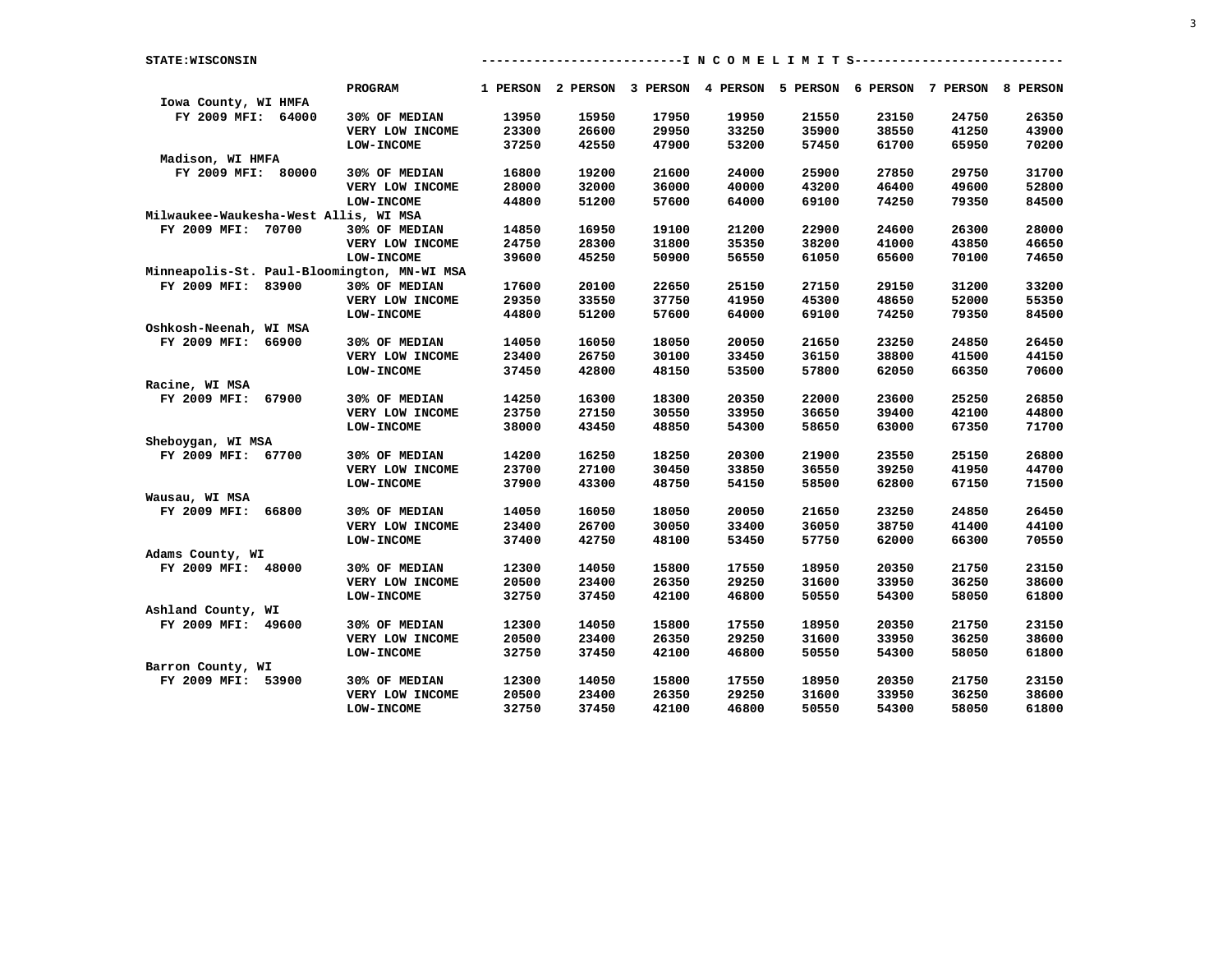| <b>STATE: WISCONSIN</b>               |                                             |       |       |       |       | -------------I N C O M E L I M I T S-----------                         |       |       |       |
|---------------------------------------|---------------------------------------------|-------|-------|-------|-------|-------------------------------------------------------------------------|-------|-------|-------|
|                                       | <b>PROGRAM</b>                              |       |       |       |       | 1 PERSON 2 PERSON 3 PERSON 4 PERSON 5 PERSON 6 PERSON 7 PERSON 8 PERSON |       |       |       |
| Iowa County, WI HMFA                  |                                             |       |       |       |       |                                                                         |       |       |       |
| FY 2009 MFI: 64000                    | 30% OF MEDIAN                               | 13950 | 15950 | 17950 | 19950 | 21550                                                                   | 23150 | 24750 | 26350 |
|                                       | VERY LOW INCOME                             | 23300 | 26600 | 29950 | 33250 | 35900                                                                   | 38550 | 41250 | 43900 |
|                                       | <b>LOW-INCOME</b>                           | 37250 | 42550 | 47900 | 53200 | 57450                                                                   | 61700 | 65950 | 70200 |
| Madison, WI HMFA                      |                                             |       |       |       |       |                                                                         |       |       |       |
| FY 2009 MFI: 80000                    | 30% OF MEDIAN                               | 16800 | 19200 | 21600 | 24000 | 25900                                                                   | 27850 | 29750 | 31700 |
|                                       | VERY LOW INCOME                             | 28000 | 32000 | 36000 | 40000 | 43200                                                                   | 46400 | 49600 | 52800 |
|                                       | <b>LOW-INCOME</b>                           | 44800 | 51200 | 57600 | 64000 | 69100                                                                   | 74250 | 79350 | 84500 |
| Milwaukee-Waukesha-West Allis, WI MSA |                                             |       |       |       |       |                                                                         |       |       |       |
| FY 2009 MFI: 70700                    | 30% OF MEDIAN                               | 14850 | 16950 | 19100 | 21200 | 22900                                                                   | 24600 | 26300 | 28000 |
|                                       | VERY LOW INCOME                             | 24750 | 28300 | 31800 | 35350 | 38200                                                                   | 41000 | 43850 | 46650 |
|                                       | <b>LOW-INCOME</b>                           | 39600 | 45250 | 50900 | 56550 | 61050                                                                   | 65600 | 70100 | 74650 |
|                                       | Minneapolis-St. Paul-Bloomington, MN-WI MSA |       |       |       |       |                                                                         |       |       |       |
| FY 2009 MFI: 83900                    | 30% OF MEDIAN                               | 17600 | 20100 | 22650 | 25150 | 27150                                                                   | 29150 | 31200 | 33200 |
|                                       | VERY LOW INCOME                             | 29350 | 33550 | 37750 | 41950 | 45300                                                                   | 48650 | 52000 | 55350 |
|                                       | <b>LOW-INCOME</b>                           | 44800 | 51200 | 57600 | 64000 | 69100                                                                   | 74250 | 79350 | 84500 |
| Oshkosh-Neenah, WI MSA                |                                             |       |       |       |       |                                                                         |       |       |       |
| FY 2009 MFI: 66900                    | 30% OF MEDIAN                               | 14050 | 16050 | 18050 | 20050 | 21650                                                                   | 23250 | 24850 | 26450 |
|                                       | VERY LOW INCOME                             | 23400 | 26750 | 30100 | 33450 | 36150                                                                   | 38800 | 41500 | 44150 |
|                                       | <b>LOW-INCOME</b>                           | 37450 | 42800 | 48150 | 53500 | 57800                                                                   | 62050 | 66350 | 70600 |
| Racine, WI MSA                        |                                             |       |       |       |       |                                                                         |       |       |       |
| FY 2009 MFI: 67900                    | 30% OF MEDIAN                               | 14250 | 16300 | 18300 | 20350 | 22000                                                                   | 23600 | 25250 | 26850 |
|                                       | VERY LOW INCOME                             | 23750 | 27150 | 30550 | 33950 | 36650                                                                   | 39400 | 42100 | 44800 |
|                                       | <b>LOW-INCOME</b>                           | 38000 | 43450 | 48850 | 54300 | 58650                                                                   | 63000 | 67350 | 71700 |
| Sheboygan, WI MSA                     |                                             |       |       |       |       |                                                                         |       |       |       |
| FY 2009 MFI: 67700                    | 30% OF MEDIAN                               | 14200 | 16250 | 18250 | 20300 | 21900                                                                   | 23550 | 25150 | 26800 |
|                                       | VERY LOW INCOME                             | 23700 | 27100 | 30450 | 33850 | 36550                                                                   | 39250 | 41950 | 44700 |
|                                       | <b>LOW-INCOME</b>                           | 37900 | 43300 | 48750 | 54150 | 58500                                                                   | 62800 | 67150 | 71500 |
| Wausau, WI MSA                        |                                             |       |       |       |       |                                                                         |       |       |       |
| FY 2009 MFI: 66800                    | 30% OF MEDIAN                               | 14050 | 16050 | 18050 | 20050 | 21650                                                                   | 23250 | 24850 | 26450 |
|                                       | VERY LOW INCOME                             | 23400 | 26700 | 30050 | 33400 | 36050                                                                   | 38750 | 41400 | 44100 |
|                                       | <b>LOW-INCOME</b>                           | 37400 | 42750 | 48100 | 53450 | 57750                                                                   | 62000 | 66300 | 70550 |
| Adams County, WI                      |                                             |       |       |       |       |                                                                         |       |       |       |
| FY 2009 MFI: 48000                    | 30% OF MEDIAN                               | 12300 | 14050 | 15800 | 17550 | 18950                                                                   | 20350 | 21750 | 23150 |
|                                       | VERY LOW INCOME                             | 20500 | 23400 | 26350 | 29250 | 31600                                                                   | 33950 | 36250 | 38600 |
|                                       | <b>LOW-INCOME</b>                           | 32750 | 37450 | 42100 | 46800 | 50550                                                                   | 54300 | 58050 | 61800 |
| Ashland County, WI                    |                                             |       |       |       |       |                                                                         |       |       |       |
| FY 2009 MFI: 49600                    | 30% OF MEDIAN                               | 12300 | 14050 | 15800 | 17550 | 18950                                                                   | 20350 | 21750 | 23150 |
|                                       | VERY LOW INCOME                             | 20500 | 23400 | 26350 | 29250 | 31600                                                                   | 33950 | 36250 | 38600 |
|                                       | <b>LOW-INCOME</b>                           | 32750 | 37450 | 42100 | 46800 | 50550                                                                   | 54300 | 58050 | 61800 |
| Barron County, WI                     |                                             |       |       |       |       |                                                                         |       |       |       |
| FY 2009 MFI: 53900                    | 30% OF MEDIAN                               | 12300 | 14050 | 15800 | 17550 | 18950                                                                   | 20350 | 21750 | 23150 |
|                                       | VERY LOW INCOME                             | 20500 | 23400 | 26350 | 29250 | 31600                                                                   | 33950 | 36250 | 38600 |
|                                       | <b>LOW-INCOME</b>                           | 32750 | 37450 | 42100 | 46800 | 50550                                                                   | 54300 | 58050 | 61800 |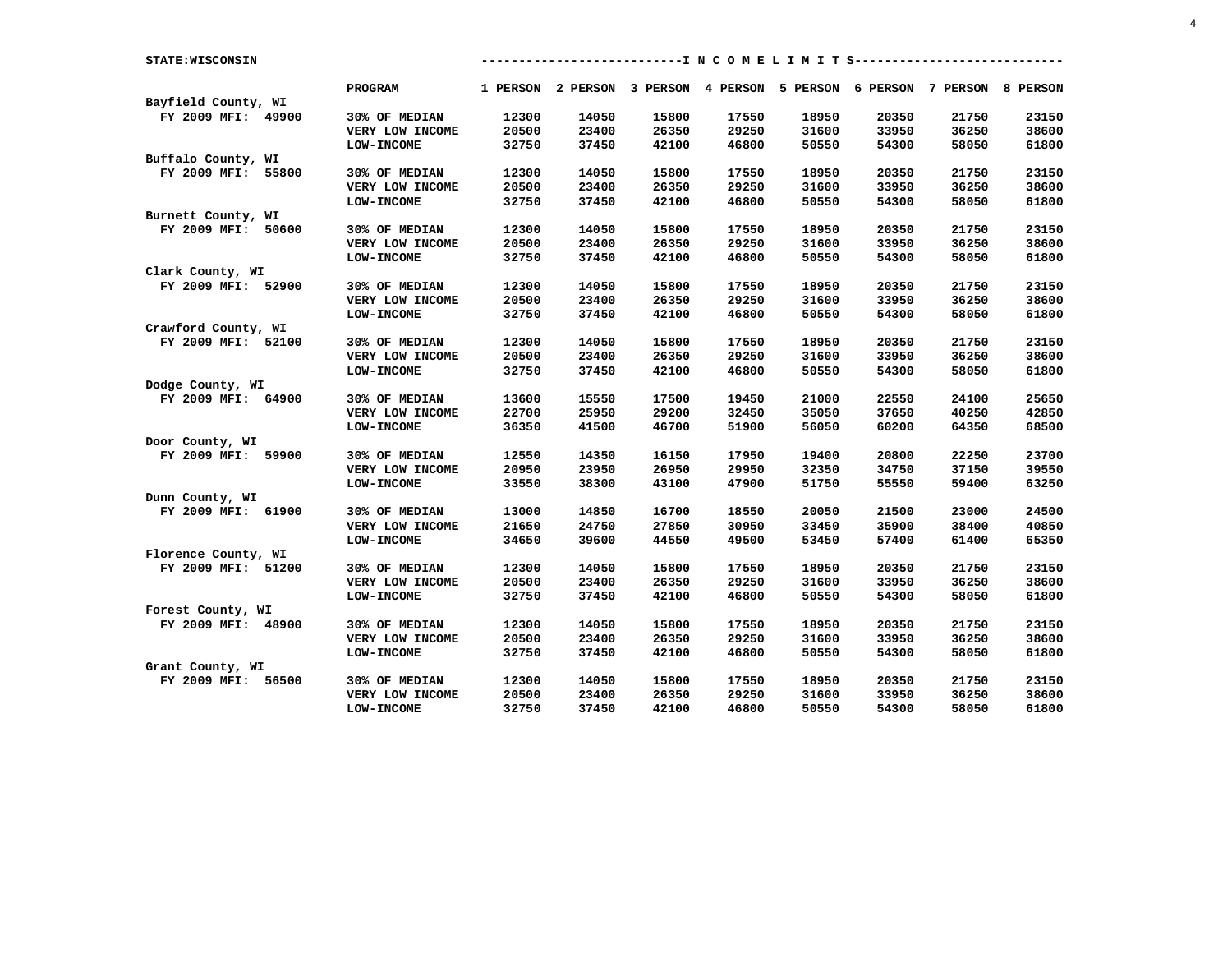| STATE: WISCONSIN    |                   |       |       |       | ---------------I N C O M E L I M I T S-----------------                 |       |       |       |       |
|---------------------|-------------------|-------|-------|-------|-------------------------------------------------------------------------|-------|-------|-------|-------|
|                     | <b>PROGRAM</b>    |       |       |       | 1 PERSON 2 PERSON 3 PERSON 4 PERSON 5 PERSON 6 PERSON 7 PERSON 8 PERSON |       |       |       |       |
| Bayfield County, WI |                   |       |       |       |                                                                         |       |       |       |       |
| FY 2009 MFI: 49900  | 30% OF MEDIAN     | 12300 | 14050 | 15800 | 17550                                                                   | 18950 | 20350 | 21750 | 23150 |
|                     | VERY LOW INCOME   | 20500 | 23400 | 26350 | 29250                                                                   | 31600 | 33950 | 36250 | 38600 |
|                     | <b>LOW-INCOME</b> | 32750 | 37450 | 42100 | 46800                                                                   | 50550 | 54300 | 58050 | 61800 |
| Buffalo County, WI  |                   |       |       |       |                                                                         |       |       |       |       |
| FY 2009 MFI: 55800  | 30% OF MEDIAN     | 12300 | 14050 | 15800 | 17550                                                                   | 18950 | 20350 | 21750 | 23150 |
|                     | VERY LOW INCOME   | 20500 | 23400 | 26350 | 29250                                                                   | 31600 | 33950 | 36250 | 38600 |
|                     | <b>LOW-INCOME</b> | 32750 | 37450 | 42100 | 46800                                                                   | 50550 | 54300 | 58050 | 61800 |
| Burnett County, WI  |                   |       |       |       |                                                                         |       |       |       |       |
| FY 2009 MFI: 50600  | 30% OF MEDIAN     | 12300 | 14050 | 15800 | 17550                                                                   | 18950 | 20350 | 21750 | 23150 |
|                     | VERY LOW INCOME   | 20500 | 23400 | 26350 | 29250                                                                   | 31600 | 33950 | 36250 | 38600 |
|                     | <b>LOW-INCOME</b> | 32750 | 37450 | 42100 | 46800                                                                   | 50550 | 54300 | 58050 | 61800 |
| Clark County, WI    |                   |       |       |       |                                                                         |       |       |       |       |
| FY 2009 MFI: 52900  | 30% OF MEDIAN     | 12300 | 14050 | 15800 | 17550                                                                   | 18950 | 20350 | 21750 | 23150 |
|                     | VERY LOW INCOME   | 20500 | 23400 | 26350 | 29250                                                                   | 31600 | 33950 | 36250 | 38600 |
|                     | <b>LOW-INCOME</b> | 32750 | 37450 | 42100 | 46800                                                                   | 50550 | 54300 | 58050 | 61800 |
| Crawford County, WI |                   |       |       |       |                                                                         |       |       |       |       |
| FY 2009 MFI: 52100  | 30% OF MEDIAN     | 12300 | 14050 | 15800 | 17550                                                                   | 18950 | 20350 | 21750 | 23150 |
|                     | VERY LOW INCOME   | 20500 | 23400 | 26350 | 29250                                                                   | 31600 | 33950 | 36250 | 38600 |
|                     | <b>LOW-INCOME</b> | 32750 | 37450 | 42100 | 46800                                                                   | 50550 | 54300 | 58050 | 61800 |
| Dodge County, WI    |                   |       |       |       |                                                                         |       |       |       |       |
| FY 2009 MFI: 64900  | 30% OF MEDIAN     | 13600 | 15550 | 17500 | 19450                                                                   | 21000 | 22550 | 24100 | 25650 |
|                     | VERY LOW INCOME   | 22700 | 25950 | 29200 | 32450                                                                   | 35050 | 37650 | 40250 | 42850 |
|                     | <b>LOW-INCOME</b> | 36350 | 41500 | 46700 | 51900                                                                   | 56050 | 60200 | 64350 | 68500 |
| Door County, WI     |                   |       |       |       |                                                                         |       |       |       |       |
| FY 2009 MFI: 59900  | 30% OF MEDIAN     | 12550 | 14350 | 16150 | 17950                                                                   | 19400 | 20800 | 22250 | 23700 |
|                     | VERY LOW INCOME   | 20950 | 23950 | 26950 | 29950                                                                   | 32350 | 34750 | 37150 | 39550 |
|                     | <b>LOW-INCOME</b> | 33550 | 38300 | 43100 | 47900                                                                   | 51750 | 55550 | 59400 | 63250 |
| Dunn County, WI     |                   |       |       |       |                                                                         |       |       |       |       |
| FY 2009 MFI: 61900  | 30% OF MEDIAN     | 13000 | 14850 | 16700 | 18550                                                                   | 20050 | 21500 | 23000 | 24500 |
|                     | VERY LOW INCOME   | 21650 | 24750 | 27850 | 30950                                                                   | 33450 | 35900 | 38400 | 40850 |
|                     | <b>LOW-INCOME</b> | 34650 | 39600 | 44550 | 49500                                                                   | 53450 | 57400 | 61400 | 65350 |
| Florence County, WI |                   |       |       |       |                                                                         |       |       |       |       |
| FY 2009 MFI: 51200  | 30% OF MEDIAN     | 12300 | 14050 | 15800 | 17550                                                                   | 18950 | 20350 | 21750 | 23150 |
|                     | VERY LOW INCOME   | 20500 | 23400 | 26350 | 29250                                                                   | 31600 | 33950 | 36250 | 38600 |
|                     | <b>LOW-INCOME</b> | 32750 | 37450 | 42100 | 46800                                                                   | 50550 | 54300 | 58050 | 61800 |
| Forest County, WI   |                   |       |       |       |                                                                         |       |       |       |       |
| FY 2009 MFI: 48900  | 30% OF MEDIAN     | 12300 | 14050 | 15800 | 17550                                                                   | 18950 | 20350 | 21750 | 23150 |
|                     | VERY LOW INCOME   | 20500 | 23400 | 26350 | 29250                                                                   | 31600 | 33950 | 36250 | 38600 |
|                     | <b>LOW-INCOME</b> | 32750 | 37450 | 42100 | 46800                                                                   | 50550 | 54300 | 58050 | 61800 |
| Grant County, WI    |                   |       |       |       |                                                                         |       |       |       |       |
| FY 2009 MFI: 56500  | 30% OF MEDIAN     | 12300 | 14050 | 15800 | 17550                                                                   | 18950 | 20350 | 21750 | 23150 |
|                     | VERY LOW INCOME   | 20500 | 23400 | 26350 | 29250                                                                   | 31600 | 33950 | 36250 | 38600 |
|                     | <b>LOW-INCOME</b> | 32750 | 37450 | 42100 | 46800                                                                   | 50550 | 54300 | 58050 | 61800 |

4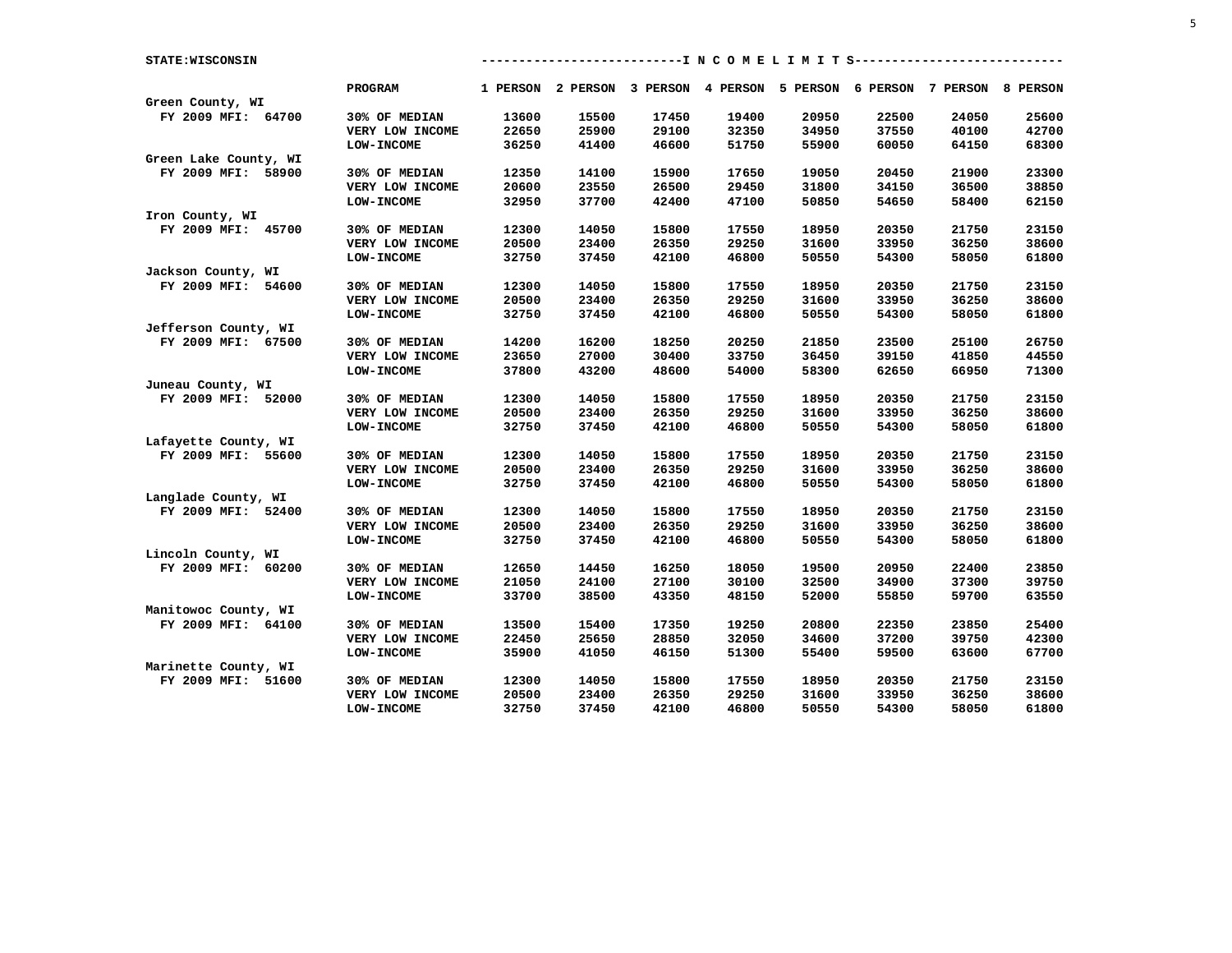| STATE: WISCONSIN      |                   |       |                                                                         |       |       | -------------I N C O M E L I M I T S--------------- |       |       |       |
|-----------------------|-------------------|-------|-------------------------------------------------------------------------|-------|-------|-----------------------------------------------------|-------|-------|-------|
|                       | PROGRAM           |       | 1 PERSON 2 PERSON 3 PERSON 4 PERSON 5 PERSON 6 PERSON 7 PERSON 8 PERSON |       |       |                                                     |       |       |       |
| Green County, WI      |                   |       |                                                                         |       |       |                                                     |       |       |       |
| FY 2009 MFI: 64700    | 30% OF MEDIAN     | 13600 | 15500                                                                   | 17450 | 19400 | 20950                                               | 22500 | 24050 | 25600 |
|                       | VERY LOW INCOME   | 22650 | 25900                                                                   | 29100 | 32350 | 34950                                               | 37550 | 40100 | 42700 |
|                       | <b>LOW-INCOME</b> | 36250 | 41400                                                                   | 46600 | 51750 | 55900                                               | 60050 | 64150 | 68300 |
| Green Lake County, WI |                   |       |                                                                         |       |       |                                                     |       |       |       |
| FY 2009 MFI: 58900    | 30% OF MEDIAN     | 12350 | 14100                                                                   | 15900 | 17650 | 19050                                               | 20450 | 21900 | 23300 |
|                       | VERY LOW INCOME   | 20600 | 23550                                                                   | 26500 | 29450 | 31800                                               | 34150 | 36500 | 38850 |
|                       | <b>LOW-INCOME</b> | 32950 | 37700                                                                   | 42400 | 47100 | 50850                                               | 54650 | 58400 | 62150 |
| Iron County, WI       |                   |       |                                                                         |       |       |                                                     |       |       |       |
| FY 2009 MFI: 45700    | 30% OF MEDIAN     | 12300 | 14050                                                                   | 15800 | 17550 | 18950                                               | 20350 | 21750 | 23150 |
|                       | VERY LOW INCOME   | 20500 | 23400                                                                   | 26350 | 29250 | 31600                                               | 33950 | 36250 | 38600 |
|                       | <b>LOW-INCOME</b> | 32750 | 37450                                                                   | 42100 | 46800 | 50550                                               | 54300 | 58050 | 61800 |
| Jackson County, WI    |                   |       |                                                                         |       |       |                                                     |       |       |       |
| FY 2009 MFI: 54600    | 30% OF MEDIAN     | 12300 | 14050                                                                   | 15800 | 17550 | 18950                                               | 20350 | 21750 | 23150 |
|                       | VERY LOW INCOME   | 20500 | 23400                                                                   | 26350 | 29250 | 31600                                               | 33950 | 36250 | 38600 |
|                       | <b>LOW-INCOME</b> | 32750 | 37450                                                                   | 42100 | 46800 | 50550                                               | 54300 | 58050 | 61800 |
| Jefferson County, WI  |                   |       |                                                                         |       |       |                                                     |       |       |       |
| FY 2009 MFI: 67500    | 30% OF MEDIAN     | 14200 | 16200                                                                   | 18250 | 20250 | 21850                                               | 23500 | 25100 | 26750 |
|                       | VERY LOW INCOME   | 23650 | 27000                                                                   | 30400 | 33750 | 36450                                               | 39150 | 41850 | 44550 |
|                       | <b>LOW-INCOME</b> | 37800 | 43200                                                                   | 48600 | 54000 | 58300                                               | 62650 | 66950 | 71300 |
| Juneau County, WI     |                   |       |                                                                         |       |       |                                                     |       |       |       |
| FY 2009 MFI: 52000    | 30% OF MEDIAN     | 12300 | 14050                                                                   | 15800 | 17550 | 18950                                               | 20350 | 21750 | 23150 |
|                       | VERY LOW INCOME   | 20500 | 23400                                                                   | 26350 | 29250 | 31600                                               | 33950 | 36250 | 38600 |
|                       | <b>LOW-INCOME</b> | 32750 | 37450                                                                   | 42100 | 46800 | 50550                                               | 54300 | 58050 | 61800 |
| Lafayette County, WI  |                   |       |                                                                         |       |       |                                                     |       |       |       |
| FY 2009 MFI: 55600    | 30% OF MEDIAN     | 12300 | 14050                                                                   | 15800 | 17550 | 18950                                               | 20350 | 21750 | 23150 |
|                       | VERY LOW INCOME   | 20500 | 23400                                                                   | 26350 | 29250 | 31600                                               | 33950 | 36250 | 38600 |
|                       | <b>LOW-INCOME</b> | 32750 | 37450                                                                   | 42100 | 46800 | 50550                                               | 54300 | 58050 | 61800 |
| Langlade County, WI   |                   |       |                                                                         |       |       |                                                     |       |       |       |
| FY 2009 MFI: 52400    | 30% OF MEDIAN     | 12300 | 14050                                                                   | 15800 | 17550 | 18950                                               | 20350 | 21750 | 23150 |
|                       | VERY LOW INCOME   | 20500 | 23400                                                                   | 26350 | 29250 | 31600                                               | 33950 | 36250 | 38600 |
|                       | <b>LOW-INCOME</b> | 32750 | 37450                                                                   | 42100 | 46800 | 50550                                               | 54300 | 58050 | 61800 |
| Lincoln County, WI    |                   |       |                                                                         |       |       |                                                     |       |       |       |
| FY 2009 MFI: 60200    | 30% OF MEDIAN     | 12650 | 14450                                                                   | 16250 | 18050 | 19500                                               | 20950 | 22400 | 23850 |
|                       | VERY LOW INCOME   | 21050 | 24100                                                                   | 27100 | 30100 | 32500                                               | 34900 | 37300 | 39750 |
|                       | <b>LOW-INCOME</b> | 33700 | 38500                                                                   | 43350 | 48150 | 52000                                               | 55850 | 59700 | 63550 |
| Manitowoc County, WI  |                   |       |                                                                         |       |       |                                                     |       |       |       |
| FY 2009 MFI: 64100    | 30% OF MEDIAN     | 13500 | 15400                                                                   | 17350 | 19250 | 20800                                               | 22350 | 23850 | 25400 |
|                       | VERY LOW INCOME   | 22450 | 25650                                                                   | 28850 | 32050 | 34600                                               | 37200 | 39750 | 42300 |
|                       | <b>LOW-INCOME</b> | 35900 | 41050                                                                   | 46150 | 51300 | 55400                                               | 59500 | 63600 | 67700 |
| Marinette County, WI  |                   |       |                                                                         |       |       |                                                     |       |       |       |
| FY 2009 MFI: 51600    | 30% OF MEDIAN     | 12300 | 14050                                                                   | 15800 | 17550 | 18950                                               | 20350 | 21750 | 23150 |
|                       | VERY LOW INCOME   | 20500 | 23400                                                                   | 26350 | 29250 | 31600                                               | 33950 | 36250 | 38600 |
|                       | <b>LOW-INCOME</b> | 32750 | 37450                                                                   | 42100 | 46800 | 50550                                               | 54300 | 58050 | 61800 |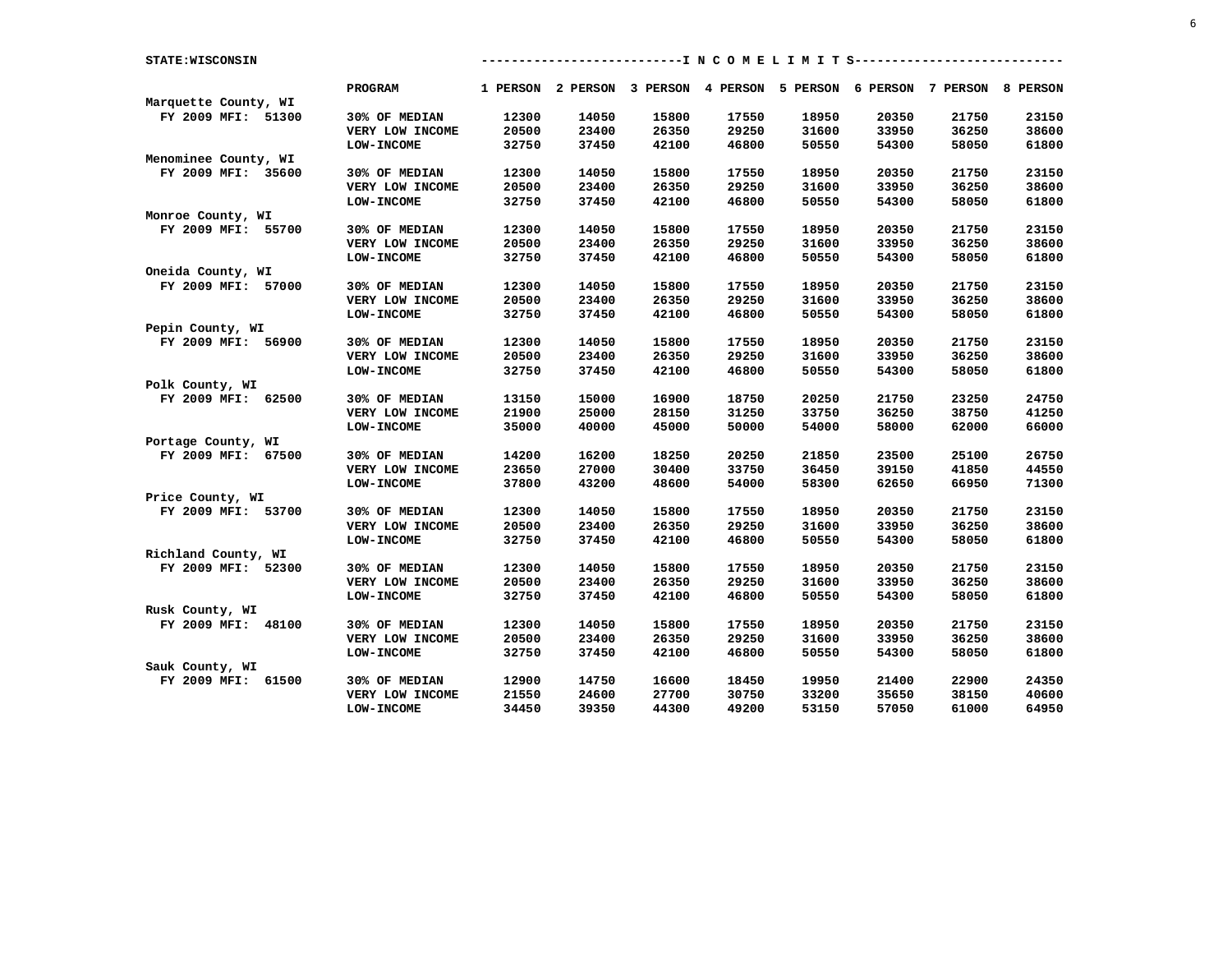| STATE: WISCONSIN     |                   |       |       |       | ---------------I N C O M E L I M I T S-----------------                 |       |       |       |       |
|----------------------|-------------------|-------|-------|-------|-------------------------------------------------------------------------|-------|-------|-------|-------|
|                      | <b>PROGRAM</b>    |       |       |       | 1 PERSON 2 PERSON 3 PERSON 4 PERSON 5 PERSON 6 PERSON 7 PERSON 8 PERSON |       |       |       |       |
| Marquette County, WI |                   |       |       |       |                                                                         |       |       |       |       |
| FY 2009 MFI: 51300   | 30% OF MEDIAN     | 12300 | 14050 | 15800 | 17550                                                                   | 18950 | 20350 | 21750 | 23150 |
|                      | VERY LOW INCOME   | 20500 | 23400 | 26350 | 29250                                                                   | 31600 | 33950 | 36250 | 38600 |
|                      | <b>LOW-INCOME</b> | 32750 | 37450 | 42100 | 46800                                                                   | 50550 | 54300 | 58050 | 61800 |
| Menominee County, WI |                   |       |       |       |                                                                         |       |       |       |       |
| FY 2009 MFI: 35600   | 30% OF MEDIAN     | 12300 | 14050 | 15800 | 17550                                                                   | 18950 | 20350 | 21750 | 23150 |
|                      | VERY LOW INCOME   | 20500 | 23400 | 26350 | 29250                                                                   | 31600 | 33950 | 36250 | 38600 |
|                      | <b>LOW-INCOME</b> | 32750 | 37450 | 42100 | 46800                                                                   | 50550 | 54300 | 58050 | 61800 |
| Monroe County, WI    |                   |       |       |       |                                                                         |       |       |       |       |
| FY 2009 MFI: 55700   | 30% OF MEDIAN     | 12300 | 14050 | 15800 | 17550                                                                   | 18950 | 20350 | 21750 | 23150 |
|                      | VERY LOW INCOME   | 20500 | 23400 | 26350 | 29250                                                                   | 31600 | 33950 | 36250 | 38600 |
|                      | <b>LOW-INCOME</b> | 32750 | 37450 | 42100 | 46800                                                                   | 50550 | 54300 | 58050 | 61800 |
| Oneida County, WI    |                   |       |       |       |                                                                         |       |       |       |       |
| FY 2009 MFI: 57000   | 30% OF MEDIAN     | 12300 | 14050 | 15800 | 17550                                                                   | 18950 | 20350 | 21750 | 23150 |
|                      | VERY LOW INCOME   | 20500 | 23400 | 26350 | 29250                                                                   | 31600 | 33950 | 36250 | 38600 |
|                      | <b>LOW-INCOME</b> | 32750 | 37450 | 42100 | 46800                                                                   | 50550 | 54300 | 58050 | 61800 |
| Pepin County, WI     |                   |       |       |       |                                                                         |       |       |       |       |
| FY 2009 MFI: 56900   | 30% OF MEDIAN     | 12300 | 14050 | 15800 | 17550                                                                   | 18950 | 20350 | 21750 | 23150 |
|                      | VERY LOW INCOME   | 20500 | 23400 | 26350 | 29250                                                                   | 31600 | 33950 | 36250 | 38600 |
|                      | <b>LOW-INCOME</b> | 32750 | 37450 | 42100 | 46800                                                                   | 50550 | 54300 | 58050 | 61800 |
| Polk County, WI      |                   |       |       |       |                                                                         |       |       |       |       |
| FY 2009 MFI: 62500   | 30% OF MEDIAN     | 13150 | 15000 | 16900 | 18750                                                                   | 20250 | 21750 | 23250 | 24750 |
|                      | VERY LOW INCOME   | 21900 | 25000 | 28150 | 31250                                                                   | 33750 | 36250 | 38750 | 41250 |
|                      | <b>LOW-INCOME</b> | 35000 | 40000 | 45000 | 50000                                                                   | 54000 | 58000 | 62000 | 66000 |
| Portage County, WI   |                   |       |       |       |                                                                         |       |       |       |       |
| FY 2009 MFI: 67500   | 30% OF MEDIAN     | 14200 | 16200 | 18250 | 20250                                                                   | 21850 | 23500 | 25100 | 26750 |
|                      | VERY LOW INCOME   | 23650 | 27000 | 30400 | 33750                                                                   | 36450 | 39150 | 41850 | 44550 |
|                      | <b>LOW-INCOME</b> | 37800 | 43200 | 48600 | 54000                                                                   | 58300 | 62650 | 66950 | 71300 |
| Price County, WI     |                   |       |       |       |                                                                         |       |       |       |       |
| FY 2009 MFI: 53700   | 30% OF MEDIAN     | 12300 | 14050 | 15800 | 17550                                                                   | 18950 | 20350 | 21750 | 23150 |
|                      | VERY LOW INCOME   | 20500 | 23400 | 26350 | 29250                                                                   | 31600 | 33950 | 36250 | 38600 |
|                      | <b>LOW-INCOME</b> | 32750 | 37450 | 42100 | 46800                                                                   | 50550 | 54300 | 58050 | 61800 |
| Richland County, WI  |                   |       |       |       |                                                                         |       |       |       |       |
| FY 2009 MFI: 52300   | 30% OF MEDIAN     | 12300 | 14050 | 15800 | 17550                                                                   | 18950 | 20350 | 21750 | 23150 |
|                      | VERY LOW INCOME   | 20500 | 23400 | 26350 | 29250                                                                   | 31600 | 33950 | 36250 | 38600 |
|                      | <b>LOW-INCOME</b> | 32750 | 37450 | 42100 | 46800                                                                   | 50550 | 54300 | 58050 | 61800 |
| Rusk County, WI      |                   |       |       |       |                                                                         |       |       |       |       |
| FY 2009 MFI: 48100   | 30% OF MEDIAN     | 12300 | 14050 | 15800 | 17550                                                                   | 18950 | 20350 | 21750 | 23150 |
|                      | VERY LOW INCOME   | 20500 | 23400 | 26350 | 29250                                                                   | 31600 | 33950 | 36250 | 38600 |
|                      | <b>LOW-INCOME</b> | 32750 | 37450 | 42100 | 46800                                                                   | 50550 | 54300 | 58050 | 61800 |
| Sauk County, WI      |                   |       |       |       |                                                                         |       |       |       |       |
| FY 2009 MFI: 61500   | 30% OF MEDIAN     | 12900 | 14750 | 16600 | 18450                                                                   | 19950 | 21400 | 22900 | 24350 |
|                      | VERY LOW INCOME   | 21550 | 24600 | 27700 | 30750                                                                   | 33200 | 35650 | 38150 | 40600 |
|                      | <b>LOW-INCOME</b> | 34450 | 39350 | 44300 | 49200                                                                   | 53150 | 57050 | 61000 | 64950 |